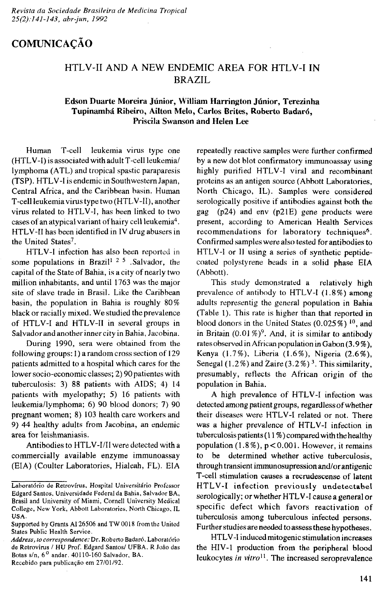## **COMUNICAÇAO**

## **HTLV-II AND A NEW ENDEMIC AREA FOR HTLV-I IN BRAZIL**

## **Edsun Duarte Moreira Junior, William Harrington Junior, Terezinha Tupinamhá Ribeiro, Ailton Melo, Carlos Brites, Roberto Badaró, Priscila Swanson and Helen Lee**

**Human T-cell leukemia virus type one (HTLV-I) is associated with adult T-cell leukemia/ lymphoma (ATL) and tropical spastic paraparesis (TSP). HTLV-I is endemic in Southwestern Japan, Central Africa, and the Caribbean basin. Human T-cell leukemia virus type two (HTL V-Il), another virus related to HTLV-I, has been linked to two cases of an atypical variant of hairy cell leukemia4. HTLV-II has been identified in IV drug abusers in the United States7.**

**HTLV-I infection has also been reported in some populations in Brazil1 2 5 .Salvador, the** capital of the State of Bahia, is a city of nearly two **million inhabitants, and until 1763 was the major site of slave trade in Brasil. Like the Caribbean basin, the population in Bahia is roughly 80% black or racially mixed. We studied the prevalence of HTLV-I and HTLV-II in several groups in Salvador and another inner city in Bahia, Jacobina.**

**During 1990, sera were obtained from the following groups: 1) a random cross section of 129 patients admitted to a hospital which cares for the lower socio-economic classes; 2) 90 patientes with tuberculosis: 3) 88 patients with AIDS; 4) 14 patients with myelopathy; 5) 16 patients with leukemia/lymphoma; 6) 90 blood donors; 7) 90 pregnant women; 8) 103 health care workers and 9) 44 healthy adults from Jacobina, an endemic area for leishmaniasis.**

**Antibodies to HTLV-I/II were detected with a commercially available enzyme immunoassay (EIA) (Coulter Laboratories, Hialeah, FL). EIA**

**repeatedly reactive samples were further confirmed by a new dot blot confirmatory immunoassay using highly purified HTLV-I viral and recombinant proteins as an antigen source (Abbott Laboratories, North Chicago, IL). Samples were considered serologically positive if antibodies against both the gag (p24) and env (p21E) gene products were present, according to American Health Services recommendations for laboratory techniques6. Confirmed samples were also tested forantibodies to HTLV-1 or II using a series of synthetic peptidecoated polystyrene beads in a solid phase EIA (Abbott).**

**This study demonstrated a relatively high prevalence of antibody to HTLV-1 (1.8%) among adults representig the general population in Bahia (Table 1). This rate is higher than that reported in blood donors in the United States (0.025%) 10, and in Britain (0.01 %)9. And, it is similar to antibody rates observed in African population in Gabon (3.9%), Kenya (1.7%), Liberia (1.6%), Nigeria (2.6%), Senegal (1.2%) and Zaire (3.2% )3. This similarity, presumably, reflects the African origin of the population in Bahia.**

A high prevalence of HTLV-I infection was detected among patient groups, regardless of whether **their diseases were HTLV-I related or not. There** was a higher prevalence of HTLV-I infection in **tuberculosis patients (11%) compared with the healthy population (1.8%), p < 0 .0 0 1 . However, it remains to be determined whether active tuberculosis, through transient immunosupression and/or antigenic T-cell stimulation causes a recrudescense of latent HTLV-I in fection p reviou sly undetectabel serologically; or whether HTLV-I cause a general or** specific defect which favors reactivation of **tuberculosis among tuberculous infected persons. Further studies are needed to assess these hypotheses.**

**HTLV-I induced mitogenic stimulation increases the HIV-1 production from the peripheral blood** leukocytes *in vitro*<sup>11</sup>. The increased seroprevalence

Laboratório de Retrovirus, Hospital Universitário Professor Edgard Santos. Universidade Federal da Bahia, Salvador BA, Brasil and University of Miami, Cornell University Medical College, New York, Abbott Laboratories, North Chicago, IL USA.

Supported by Grants AI 26506 and TW 0018 from the United Slates Public Health Service.

*Address, to correspondence:* Dr. Roberto Badaró, Laboratório de Retrovirus / HU Prof. Edgard Santos/ UFBA. R João das Botas s/n, 6<sup>o</sup> andar. 40110-160 Salvador, BA. Recebido para publicação em 27/01/92.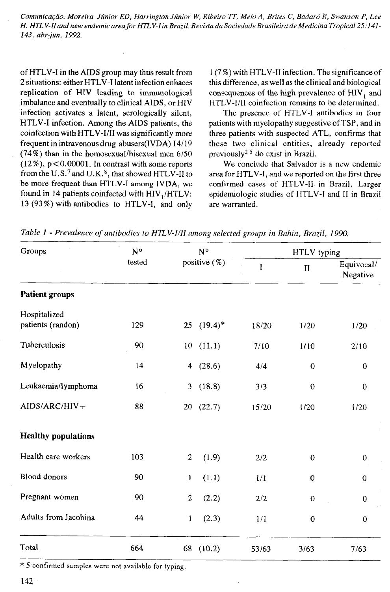*Comunicação. Moreira Júnior ED, Harrington Júnior* **W,** *Ribeiro TT, Melo A , Brites C, Badaró R, Swanson P, Lee H. HTLV-lland new endemic area for HTLV-I in Brazil. Revista da Sociedade Brasileira de Medicina Tropical 25:141- 143, abr-jun, 1992.*

**of HTLV-I in the AIDS group may thus result from 2 situations: either HTLV-I latent infection enhaces** replication of HIV leading to immunological **imbalance and eventually to clinical AIDS, or HIV infection activates a latent, serologically silent, HTLV-I infection. Among the AIDS patients, the coinfection with HTLV-I/II was significantly more frequent in intravenous drug abusers(IVDA) 14/19 (74%) than in the homosexual/bisexual men 6/50 (12 %), p < 0.00001. In contrast with some reports from the U .S.7 and U .K .8, that showed HTLV-II to be more frequent than HTLV-I among IVDA, we found in 14 patients coinfected with HIV***x***/HTLV: 13 (93%) with antibodies to HTLV-I, and only**

**1 (7%) with HTLV-II infection. The significance of this difference, as well as the clinical and biological** consequences of the high prevalence of HIV<sub>1</sub> and **HTLV-I/II coinfection remains to be determined.**

**The presence of HTLV-I antibodies in four** patients with myelopathy suggestive of TSP, and in **three patients with suspected ATL, confirms that these two clinical entities, already reported previously2 5 do exist in Brazil.**

**We conclude that Salvador is a new endemic area for HTLV-1, and we reported on the first three confirmed cases of HTLV-II - in Brazil. Larger** epidemiologic studies of HTLV-I and II in Brazil **are warranted.**

| Groups                            | N°<br>tested | N <sup>o</sup><br>positive $(%)$ |                 | HTLV typing |                  |                        |
|-----------------------------------|--------------|----------------------------------|-----------------|-------------|------------------|------------------------|
|                                   |              |                                  |                 | I           | $\mathbf{I}$     | Equivocal/<br>Negative |
| Patient groups                    |              |                                  |                 |             |                  |                        |
| Hospitalized<br>patients (randon) | 129          |                                  | $25$ $(19.4)^*$ | 18/20       | 1/20             | 1/20                   |
| Tuberculosis                      | 90           |                                  | 10(11.1)        | 7/10        | 1/10             | 2/10                   |
| Myelopathy                        | 14           |                                  | 4 $(28.6)$      | 4/4         | $\boldsymbol{0}$ | $\bf{0}$               |
| Leukaemia/lymphoma                | 16           | 3                                | (18.8)          | 3/3         | $\mathbf 0$      | $\mathbf 0$            |
| $AIDS/ARC/HIV +$                  | 88           |                                  | 20(22.7)        | 15/20       | 1/20             | 1/20                   |
| <b>Healthy populations</b>        |              |                                  |                 |             |                  |                        |
| Health care workers               | 103          | $\overline{2}$                   | (1.9)           | 2/2         | $\Omega$         | $\mathbf 0$            |
| <b>Blood</b> donors               | 90           | 1                                | (1.1)           | 1/1         | $\boldsymbol{0}$ | $\boldsymbol{0}$       |
| Pregnant women                    | 90           | $\overline{2}$                   | (2.2)           | 2/2         | $\mathbf 0$      | $\boldsymbol{0}$       |
| Adults from Jacobina              | 44           | 1                                | (2.3)           | 1/1         | $\mathbf 0$      | $\mathbf 0$            |
| Total                             | 664          | 68                               | (10.2)          | 53/63       | 3/63             | 7/63                   |

Table 1 - Prevalence of antibodies to HTLV-I/II among selected groups in Bahia, Brazil, 1990.

\* 5 confirmed samples were not available for typing.

142